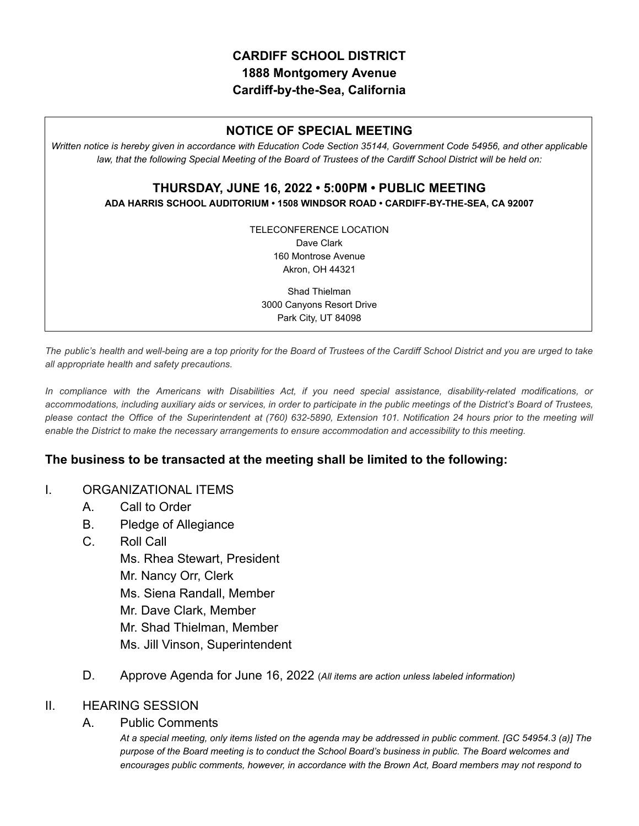# **CARDIFF SCHOOL DISTRICT 1888 Montgomery Avenue Cardiff-by-the-Sea, California**

# **NOTICE OF SPECIAL MEETING**

*Written notice is hereby given in accordance with Education Code Section 35144, Government Code 54956, and other applicable law, that the following Special Meeting of the Board of Trustees of the Cardiff School District will be held on:*

### **THURSDAY, JUNE 16, 2022 • 5:00PM • PUBLIC MEETING ADA HARRIS SCHOOL AUDITORIUM • 1508 WINDSOR ROAD • CARDIFF-BY-THE-SEA, CA 92007**

TELECONFERENCE LOCATION Dave Clark 160 Montrose Avenue Akron, OH 44321

Shad Thielman 3000 Canyons Resort Drive Park City, UT 84098

The public's health and well-being are a top priority for the Board of Trustees of the Cardiff School District and you are urged to take *all appropriate health and safety precautions.*

In compliance with the Americans with Disabilities Act, if you need special assistance, disability-related modifications, or accommodations, including auxiliary aids or services, in order to participate in the public meetings of the District's Board of Trustees, please contact the Office of the Superintendent at (760) 632-5890, Extension 101. Notification 24 hours prior to the meeting will *enable the District to make the necessary arrangements to ensure accommodation and accessibility to this meeting.*

### **The business to be transacted at the meeting shall be limited to the following:**

#### I. ORGANIZATIONAL ITEMS

- A. Call to Order
- B. Pledge of Allegiance
- C. Roll Call Ms. Rhea Stewart, President Mr. Nancy Orr, Clerk Ms. Siena Randall, Member Mr. Dave Clark, Member Mr. Shad Thielman, Member Ms. Jill Vinson, Superintendent
- D. Approve Agenda for June 16, 2022 (*All items are action unless labeled information)*

### II. HEARING SESSION

#### A. Public Comments

*At a special meeting, only items listed on the agenda may be addressed in public comment. [GC 54954.3 (a)] The purpose of the Board meeting is to conduct the School Board's business in public. The Board welcomes and encourages public comments, however, in accordance with the Brown Act, Board members may not respond to*